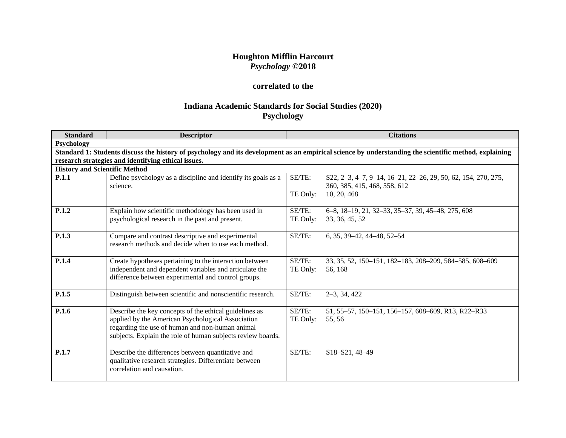## **Houghton Mifflin Harcourt** *Psychology* **©2018**

## **correlated to the**

# **Indiana Academic Standards for Social Studies (2020) Psychology**

| <b>Standard</b>                      | <b>Descriptor</b>                                             |          | <b>Citations</b>                                                                                                                                      |
|--------------------------------------|---------------------------------------------------------------|----------|-------------------------------------------------------------------------------------------------------------------------------------------------------|
| Psychology                           |                                                               |          |                                                                                                                                                       |
|                                      |                                                               |          | Standard 1: Students discuss the history of psychology and its development as an empirical science by understanding the scientific method, explaining |
|                                      | research strategies and identifying ethical issues.           |          |                                                                                                                                                       |
| <b>History and Scientific Method</b> |                                                               |          |                                                                                                                                                       |
| <b>P.1.1</b>                         | Define psychology as a discipline and identify its goals as a | SE/TE:   | \$22, 2-3, 4-7, 9-14, 16-21, 22-26, 29, 50, 62, 154, 270, 275,                                                                                        |
|                                      | science.                                                      |          | 360, 385, 415, 468, 558, 612                                                                                                                          |
|                                      |                                                               | TE Only: | 10, 20, 468                                                                                                                                           |
|                                      |                                                               |          |                                                                                                                                                       |
| P.1.2                                | Explain how scientific methodology has been used in           | SE/TE:   | 6-8, 18-19, 21, 32-33, 35-37, 39, 45-48, 275, 608                                                                                                     |
|                                      | psychological research in the past and present.               | TE Only: | 33, 36, 45, 52                                                                                                                                        |
|                                      |                                                               |          |                                                                                                                                                       |
| P.1.3                                | Compare and contrast descriptive and experimental             | SE/TE:   | $6, 35, 39-42, 44-48, 52-54$                                                                                                                          |
|                                      | research methods and decide when to use each method.          |          |                                                                                                                                                       |
| P.1.4                                | Create hypotheses pertaining to the interaction between       | SE/TE:   | 33, 35, 52, 150–151, 182–183, 208–209, 584–585, 608–609                                                                                               |
|                                      | independent and dependent variables and articulate the        | TE Only: | 56, 168                                                                                                                                               |
|                                      | difference between experimental and control groups.           |          |                                                                                                                                                       |
|                                      |                                                               |          |                                                                                                                                                       |
| P.1.5                                | Distinguish between scientific and nonscientific research.    | SE/TE:   | $2-3, 34, 422$                                                                                                                                        |
|                                      |                                                               |          |                                                                                                                                                       |
| P.1.6                                | Describe the key concepts of the ethical guidelines as        | SE/TE:   | 51, 55–57, 150–151, 156–157, 608–609, R13, R22–R33                                                                                                    |
|                                      | applied by the American Psychological Association             | TE Only: | 55,56                                                                                                                                                 |
|                                      | regarding the use of human and non-human animal               |          |                                                                                                                                                       |
|                                      | subjects. Explain the role of human subjects review boards.   |          |                                                                                                                                                       |
|                                      |                                                               |          |                                                                                                                                                       |
| P.1.7                                | Describe the differences between quantitative and             | SE/TE:   | S18-S21, 48-49                                                                                                                                        |
|                                      | qualitative research strategies. Differentiate between        |          |                                                                                                                                                       |
|                                      | correlation and causation.                                    |          |                                                                                                                                                       |
|                                      |                                                               |          |                                                                                                                                                       |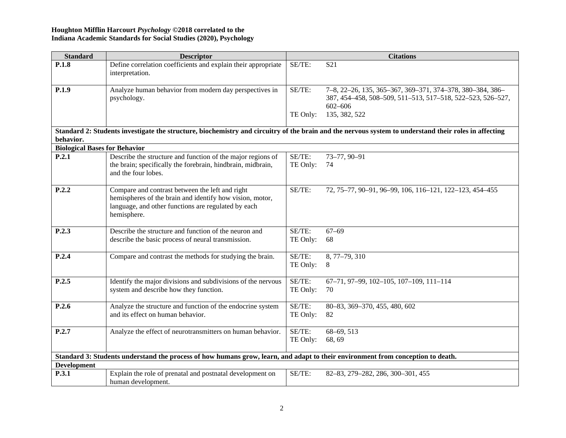| <b>Standard</b>                      | <b>Descriptor</b>                                                                                                                                                                 |                    | <b>Citations</b>                                                                                                                                      |
|--------------------------------------|-----------------------------------------------------------------------------------------------------------------------------------------------------------------------------------|--------------------|-------------------------------------------------------------------------------------------------------------------------------------------------------|
| P.1.8                                | Define correlation coefficients and explain their appropriate<br>interpretation.                                                                                                  | SE/TE:             | S <sub>21</sub>                                                                                                                                       |
| P.1.9                                | Analyze human behavior from modern day perspectives in<br>psychology.                                                                                                             | SE/TE:             | 7-8, 22-26, 135, 365-367, 369-371, 374-378, 380-384, 386-<br>387, 454–458, 508–509, 511–513, 517–518, 522–523, 526–527,<br>$602 - 606$                |
|                                      |                                                                                                                                                                                   | TE Only:           | 135, 382, 522                                                                                                                                         |
| behavior.                            |                                                                                                                                                                                   |                    | Standard 2: Students investigate the structure, biochemistry and circuitry of the brain and the nervous system to understand their roles in affecting |
| <b>Biological Bases for Behavior</b> |                                                                                                                                                                                   |                    |                                                                                                                                                       |
| P.2.1                                | Describe the structure and function of the major regions of                                                                                                                       | SE/TE:             | 73-77, 90-91                                                                                                                                          |
|                                      | the brain; specifically the forebrain, hindbrain, midbrain,<br>and the four lobes.                                                                                                | TE Only:           | 74                                                                                                                                                    |
| P.2.2                                | Compare and contrast between the left and right<br>hemispheres of the brain and identify how vision, motor,<br>language, and other functions are regulated by each<br>hemisphere. | SE/TE:             | 72, 75-77, 90-91, 96-99, 106, 116-121, 122-123, 454-455                                                                                               |
| P.2.3                                | Describe the structure and function of the neuron and<br>describe the basic process of neural transmission.                                                                       | SE/TE:<br>TE Only: | $67 - 69$<br>68                                                                                                                                       |
| P.2.4                                | Compare and contrast the methods for studying the brain.                                                                                                                          | SE/TE:<br>TE Only: | 8, 77-79, 310<br>8                                                                                                                                    |
| P.2.5                                | Identify the major divisions and subdivisions of the nervous<br>system and describe how they function.                                                                            | SE/TE:<br>TE Only: | 67-71, 97-99, 102-105, 107-109, 111-114<br>70                                                                                                         |
| P.2.6                                | Analyze the structure and function of the endocrine system<br>and its effect on human behavior.                                                                                   | SE/TE:<br>TE Only: | 80-83, 369-370, 455, 480, 602<br>82                                                                                                                   |
| P.2.7                                | Analyze the effect of neurotransmitters on human behavior.                                                                                                                        | SE/TE:<br>TE Only: | 68-69, 513<br>68, 69                                                                                                                                  |
|                                      | Standard 3: Students understand the process of how humans grow, learn, and adapt to their environment from conception to death.                                                   |                    |                                                                                                                                                       |
| <b>Development</b>                   |                                                                                                                                                                                   |                    |                                                                                                                                                       |
| P.3.1                                | Explain the role of prenatal and postnatal development on<br>human development.                                                                                                   | SE/TE:             | 82-83, 279-282, 286, 300-301, 455                                                                                                                     |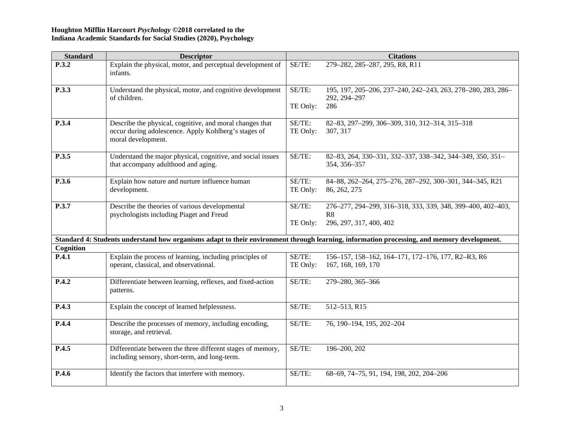| <b>Standard</b> | <b>Descriptor</b>                                                                                                                      |                    | <b>Citations</b>                                                                                                                           |
|-----------------|----------------------------------------------------------------------------------------------------------------------------------------|--------------------|--------------------------------------------------------------------------------------------------------------------------------------------|
| P.3.2           | Explain the physical, motor, and perceptual development of<br>infants.                                                                 | SE/TE:             | 279-282, 285-287, 295, R8, R11                                                                                                             |
| P.3.3           | Understand the physical, motor, and cognitive development                                                                              | SE/TE:             | 195, 197, 205-206, 237-240, 242-243, 263, 278-280, 283, 286-                                                                               |
|                 | of children.                                                                                                                           | TE Only:           | 292, 294-297<br>286                                                                                                                        |
| P.3.4           | Describe the physical, cognitive, and moral changes that<br>occur during adolescence. Apply Kohlberg's stages of<br>moral development. | SE/TE:<br>TE Only: | 82-83, 297-299, 306-309, 310, 312-314, 315-318<br>307, 317                                                                                 |
| P.3.5           | Understand the major physical, cognitive, and social issues<br>that accompany adulthood and aging.                                     | SE/TE:             | 82-83, 264, 330-331, 332-337, 338-342, 344-349, 350, 351-<br>354, 356-357                                                                  |
| P.3.6           | Explain how nature and nurture influence human<br>development.                                                                         | SE/TE:<br>TE Only: | 84-88, 262-264, 275-276, 287-292, 300-301, 344-345, R21<br>86, 262, 275                                                                    |
| P.3.7           | Describe the theories of various developmental<br>psychologists including Piaget and Freud                                             | SE/TE:             | 276-277, 294-299, 316-318, 333, 339, 348, 399-400, 402-403,<br>R8                                                                          |
|                 |                                                                                                                                        | TE Only:           | 296, 297, 317, 400, 402                                                                                                                    |
|                 |                                                                                                                                        |                    | Standard 4: Students understand how organisms adapt to their environment through learning, information processing, and memory development. |
| Cognition       |                                                                                                                                        |                    |                                                                                                                                            |
| P.4.1           | Explain the process of learning, including principles of                                                                               | SE/TE:             | 156-157, 158-162, 164-171, 172-176, 177, R2-R3, R6                                                                                         |
|                 | operant, classical, and observational.                                                                                                 | TE Only:           | 167, 168, 169, 170                                                                                                                         |
| P.4.2           | Differentiate between learning, reflexes, and fixed-action<br>patterns.                                                                | SE/TE:             | 279-280, 365-366                                                                                                                           |
| P.4.3           | Explain the concept of learned helplessness.                                                                                           | SE/TE:             | 512-513, R15                                                                                                                               |
| P.4.4           | Describe the processes of memory, including encoding,<br>storage, and retrieval.                                                       | SE/TE:             | 76, 190-194, 195, 202-204                                                                                                                  |
| P.4.5           | Differentiate between the three different stages of memory,<br>including sensory, short-term, and long-term.                           | SE/TE:             | 196-200, 202                                                                                                                               |
| P.4.6           | Identify the factors that interfere with memory.                                                                                       | SE/TE:             | 68-69, 74-75, 91, 194, 198, 202, 204-206                                                                                                   |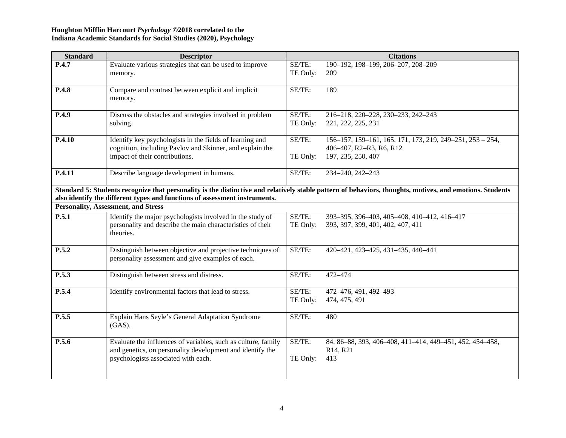| <b>Standard</b> | <b>Descriptor</b>                                                                                                                                                 |                    | <b>Citations</b>                                                                                                                                         |
|-----------------|-------------------------------------------------------------------------------------------------------------------------------------------------------------------|--------------------|----------------------------------------------------------------------------------------------------------------------------------------------------------|
| P.4.7           | Evaluate various strategies that can be used to improve<br>memory.                                                                                                | SE/TE:<br>TE Only: | 190-192, 198-199, 206-207, 208-209<br>209                                                                                                                |
| P.4.8           | Compare and contrast between explicit and implicit<br>memory.                                                                                                     | SE/TE:             | 189                                                                                                                                                      |
| P.4.9           | Discuss the obstacles and strategies involved in problem<br>solving.                                                                                              | SE/TE:<br>TE Only: | 216-218, 220-228, 230-233, 242-243<br>221, 222, 225, 231                                                                                                 |
| P.4.10          | Identify key psychologists in the fields of learning and<br>cognition, including Pavlov and Skinner, and explain the<br>impact of their contributions.            | SE/TE:<br>TE Only: | 156-157, 159-161, 165, 171, 173, 219, 249-251, 253 - 254,<br>406-407, R2-R3, R6, R12<br>197, 235, 250, 407                                               |
| P.4.11          | Describe language development in humans.                                                                                                                          | SE/TE:             | 234-240, 242-243                                                                                                                                         |
|                 | also identify the different types and functions of assessment instruments.                                                                                        |                    | Standard 5: Students recognize that personality is the distinctive and relatively stable pattern of behaviors, thoughts, motives, and emotions. Students |
|                 | <b>Personality, Assessment, and Stress</b>                                                                                                                        |                    |                                                                                                                                                          |
| P.5.1           | Identify the major psychologists involved in the study of<br>personality and describe the main characteristics of their<br>theories.                              | SE/TE:<br>TE Only: | 393-395, 396-403, 405-408, 410-412, 416-417<br>393, 397, 399, 401, 402, 407, 411                                                                         |
| P.5.2           | Distinguish between objective and projective techniques of<br>personality assessment and give examples of each.                                                   | SE/TE:             | 420-421, 423-425, 431-435, 440-441                                                                                                                       |
| P.5.3           | Distinguish between stress and distress.                                                                                                                          | SE/TE:             | 472-474                                                                                                                                                  |
| P.5.4           | Identify environmental factors that lead to stress.                                                                                                               | SE/TE:<br>TE Only: | 472-476, 491, 492-493<br>474, 475, 491                                                                                                                   |
| P.5.5           | Explain Hans Seyle's General Adaptation Syndrome<br>$(GAS)$ .                                                                                                     | SE/TE:             | 480                                                                                                                                                      |
| P.5.6           | Evaluate the influences of variables, such as culture, family<br>and genetics, on personality development and identify the<br>psychologists associated with each. | SE/TE:<br>TE Only: | 84, 86-88, 393, 406-408, 411-414, 449-451, 452, 454-458,<br>R <sub>14</sub> , R <sub>21</sub><br>413                                                     |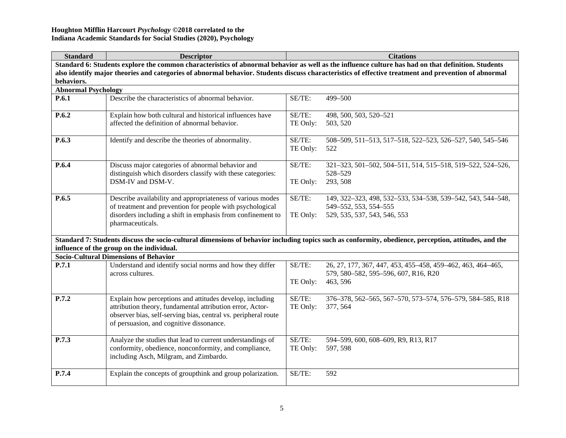| <b>Standard</b>                                                                                                                                                                                                                                                                                                          | <b>Descriptor</b>                                                                                                                                                                                                                   |                    | <b>Citations</b>                                                                                                                                      |  |
|--------------------------------------------------------------------------------------------------------------------------------------------------------------------------------------------------------------------------------------------------------------------------------------------------------------------------|-------------------------------------------------------------------------------------------------------------------------------------------------------------------------------------------------------------------------------------|--------------------|-------------------------------------------------------------------------------------------------------------------------------------------------------|--|
| Standard 6: Students explore the common characteristics of abnormal behavior as well as the influence culture has had on that definition. Students<br>also identify major theories and categories of abnormal behavior. Students discuss characteristics of effective treatment and prevention of abnormal<br>behaviors. |                                                                                                                                                                                                                                     |                    |                                                                                                                                                       |  |
| <b>Abnormal Psychology</b>                                                                                                                                                                                                                                                                                               |                                                                                                                                                                                                                                     |                    |                                                                                                                                                       |  |
| P.6.1                                                                                                                                                                                                                                                                                                                    | Describe the characteristics of abnormal behavior.                                                                                                                                                                                  | SE/TE:             | 499-500                                                                                                                                               |  |
| P.6.2                                                                                                                                                                                                                                                                                                                    | Explain how both cultural and historical influences have<br>affected the definition of abnormal behavior.                                                                                                                           | SE/TE:<br>TE Only: | 498, 500, 503, 520-521<br>503, 520                                                                                                                    |  |
| P.6.3                                                                                                                                                                                                                                                                                                                    | Identify and describe the theories of abnormality.                                                                                                                                                                                  | SE/TE:<br>TE Only: | 508-509, 511-513, 517-518, 522-523, 526-527, 540, 545-546<br>522                                                                                      |  |
| P.6.4                                                                                                                                                                                                                                                                                                                    | Discuss major categories of abnormal behavior and<br>distinguish which disorders classify with these categories:<br>DSM-IV and DSM-V.                                                                                               | SE/TE:<br>TE Only: | 321-323, 501-502, 504-511, 514, 515-518, 519-522, 524-526,<br>528-529<br>293, 508                                                                     |  |
| P.6.5                                                                                                                                                                                                                                                                                                                    | Describe availability and appropriateness of various modes<br>of treatment and prevention for people with psychological<br>disorders including a shift in emphasis from confinement to<br>pharmaceuticals.                          | SE/TE:<br>TE Only: | 149, 322-323, 498, 532-533, 534-538, 539-542, 543, 544-548,<br>549-552, 553, 554-555<br>529, 535, 537, 543, 546, 553                                  |  |
|                                                                                                                                                                                                                                                                                                                          | influence of the group on the individual.                                                                                                                                                                                           |                    | Standard 7: Students discuss the socio-cultural dimensions of behavior including topics such as conformity, obedience, perception, attitudes, and the |  |
|                                                                                                                                                                                                                                                                                                                          | <b>Socio-Cultural Dimensions of Behavior</b>                                                                                                                                                                                        |                    |                                                                                                                                                       |  |
| P.7.1                                                                                                                                                                                                                                                                                                                    | Understand and identify social norms and how they differ<br>across cultures.                                                                                                                                                        | SE/TE:<br>TE Only: | 26, 27, 177, 367, 447, 453, 455-458, 459-462, 463, 464-465,<br>579, 580-582, 595-596, 607, R16, R20<br>463, 596                                       |  |
| P.7.2                                                                                                                                                                                                                                                                                                                    | Explain how perceptions and attitudes develop, including<br>attribution theory, fundamental attribution error, Actor-<br>observer bias, self-serving bias, central vs. peripheral route<br>of persuasion, and cognitive dissonance. | SE/TE:<br>TE Only: | 376-378, 562-565, 567-570, 573-574, 576-579, 584-585, R18<br>377, 564                                                                                 |  |
| P.7.3                                                                                                                                                                                                                                                                                                                    | Analyze the studies that lead to current understandings of<br>conformity, obedience, nonconformity, and compliance,<br>including Asch, Milgram, and Zimbardo.                                                                       | SE/TE:<br>TE Only: | 594-599, 600, 608-609, R9, R13, R17<br>597, 598                                                                                                       |  |
| P.7.4                                                                                                                                                                                                                                                                                                                    | Explain the concepts of groupthink and group polarization.                                                                                                                                                                          | SE/TE:             | 592                                                                                                                                                   |  |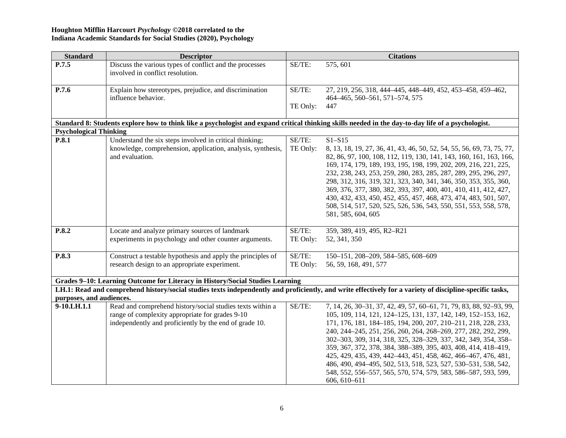| <b>Standard</b>                        | <b>Descriptor</b>                                                                                                                                  |           | <b>Citations</b>                                                                                                                                         |
|----------------------------------------|----------------------------------------------------------------------------------------------------------------------------------------------------|-----------|----------------------------------------------------------------------------------------------------------------------------------------------------------|
| P.7.5                                  | Discuss the various types of conflict and the processes                                                                                            | SE/TE:    | 575, 601                                                                                                                                                 |
|                                        | involved in conflict resolution.                                                                                                                   |           |                                                                                                                                                          |
| P.7.6                                  | Explain how stereotypes, prejudice, and discrimination                                                                                             | SE/TE:    | 27, 219, 256, 318, 444-445, 448-449, 452, 453-458, 459-462,                                                                                              |
|                                        | influence behavior.                                                                                                                                |           | 464-465, 560-561, 571-574, 575                                                                                                                           |
|                                        |                                                                                                                                                    | TE Only:  | 447                                                                                                                                                      |
|                                        |                                                                                                                                                    |           |                                                                                                                                                          |
|                                        | Standard 8: Students explore how to think like a psychologist and expand critical thinking skills needed in the day-to-day life of a psychologist. |           |                                                                                                                                                          |
| <b>Psychological Thinking</b><br>P.8.1 | Understand the six steps involved in critical thinking;                                                                                            | SE/TE:    | $S1 - S15$                                                                                                                                               |
|                                        | knowledge, comprehension, application, analysis, synthesis,                                                                                        | TE Only:  | 8, 13, 18, 19, 27, 36, 41, 43, 46, 50, 52, 54, 55, 56, 69, 73, 75, 77,                                                                                   |
|                                        | and evaluation.                                                                                                                                    |           | 82, 86, 97, 100, 108, 112, 119, 130, 141, 143, 160, 161, 163, 166,                                                                                       |
|                                        |                                                                                                                                                    |           | 169, 174, 179, 189, 193, 195, 198, 199, 202, 209, 216, 221, 225,                                                                                         |
|                                        |                                                                                                                                                    |           | 232, 238, 243, 253, 259, 280, 283, 285, 287, 289, 295, 296, 297,                                                                                         |
|                                        |                                                                                                                                                    |           | 298, 312, 316, 319, 321, 323, 340, 341, 346, 350, 353, 355, 360,                                                                                         |
|                                        |                                                                                                                                                    |           | 369, 376, 377, 380, 382, 393, 397, 400, 401, 410, 411, 412, 427,                                                                                         |
|                                        |                                                                                                                                                    |           | 430, 432, 433, 450, 452, 455, 457, 468, 473, 474, 483, 501, 507,                                                                                         |
|                                        |                                                                                                                                                    |           | 508, 514, 517, 520, 525, 526, 536, 543, 550, 551, 553, 558, 578,                                                                                         |
|                                        |                                                                                                                                                    |           | 581, 585, 604, 605                                                                                                                                       |
| P.8.2                                  | Locate and analyze primary sources of landmark                                                                                                     | SE/TE:    | 359, 389, 419, 495, R2-R21                                                                                                                               |
|                                        | experiments in psychology and other counter arguments.                                                                                             | TE Only:  | 52, 341, 350                                                                                                                                             |
|                                        |                                                                                                                                                    |           |                                                                                                                                                          |
| P.8.3                                  | Construct a testable hypothesis and apply the principles of                                                                                        | SE/TE:    | 150-151, 208-209, 584-585, 608-609                                                                                                                       |
|                                        | research design to an appropriate experiment.                                                                                                      | TE Only:  | 56, 59, 168, 491, 577                                                                                                                                    |
|                                        | Grades 9-10: Learning Outcome for Literacy in History/Social Studies Learning                                                                      |           |                                                                                                                                                          |
|                                        |                                                                                                                                                    |           | LH.1: Read and comprehend history/social studies texts independently and proficiently, and write effectively for a variety of discipline-specific tasks, |
| purposes, and audiences.               |                                                                                                                                                    |           |                                                                                                                                                          |
| 9-10.LH.1.1                            | Read and comprehend history/social studies texts within a                                                                                          | $SE/TE$ : | 7, 14, 26, 30-31, 37, 42, 49, 57, 60-61, 71, 79, 83, 88, 92-93, 99,                                                                                      |
|                                        | range of complexity appropriate for grades 9-10                                                                                                    |           | 105, 109, 114, 121, 124–125, 131, 137, 142, 149, 152–153, 162,                                                                                           |
|                                        | independently and proficiently by the end of grade 10.                                                                                             |           | 171, 176, 181, 184-185, 194, 200, 207, 210-211, 218, 228, 233,                                                                                           |
|                                        |                                                                                                                                                    |           | 240, 244-245, 251, 256, 260, 264, 268-269, 277, 282, 292, 299,                                                                                           |
|                                        |                                                                                                                                                    |           | 302-303, 309, 314, 318, 325, 328-329, 337, 342, 349, 354, 358-                                                                                           |
|                                        |                                                                                                                                                    |           | 359, 367, 372, 378, 384, 388-389, 395, 403, 408, 414, 418-419,                                                                                           |
|                                        |                                                                                                                                                    |           | 425, 429, 435, 439, 442-443, 451, 458, 462, 466-467, 476, 481,                                                                                           |
|                                        |                                                                                                                                                    |           |                                                                                                                                                          |
|                                        |                                                                                                                                                    |           | 486, 490, 494-495, 502, 513, 518, 523, 527, 530-531, 538, 542,<br>548, 552, 556–557, 565, 570, 574, 579, 583, 586–587, 593, 599,                         |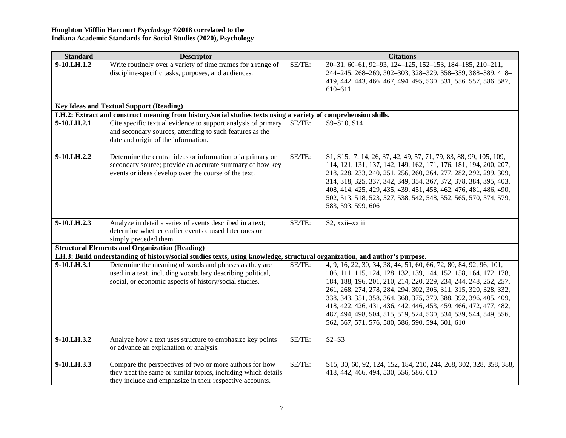| <b>Standard</b> | <b>Descriptor</b>                                                                                                                                                                     |        | <b>Citations</b>                                                                                                                                                                                                                                                                                                                                                                                                                                                                                                                               |
|-----------------|---------------------------------------------------------------------------------------------------------------------------------------------------------------------------------------|--------|------------------------------------------------------------------------------------------------------------------------------------------------------------------------------------------------------------------------------------------------------------------------------------------------------------------------------------------------------------------------------------------------------------------------------------------------------------------------------------------------------------------------------------------------|
| 9-10.LH.1.2     | Write routinely over a variety of time frames for a range of<br>discipline-specific tasks, purposes, and audiences.                                                                   | SE/TE: | 30-31, 60-61, 92-93, 124-125, 152-153, 184-185, 210-211,<br>244-245, 268-269, 302-303, 328-329, 358-359, 388-389, 418-<br>419, 442-443, 466-467, 494-495, 530-531, 556-557, 586-587,<br>610-611                                                                                                                                                                                                                                                                                                                                                |
|                 | <b>Key Ideas and Textual Support (Reading)</b>                                                                                                                                        |        |                                                                                                                                                                                                                                                                                                                                                                                                                                                                                                                                                |
|                 | LH.2: Extract and construct meaning from history/social studies texts using a variety of comprehension skills.                                                                        |        |                                                                                                                                                                                                                                                                                                                                                                                                                                                                                                                                                |
| 9-10.LH.2.1     | Cite specific textual evidence to support analysis of primary<br>and secondary sources, attending to such features as the<br>date and origin of the information.                      | SE/TE: | S9-S10, S14                                                                                                                                                                                                                                                                                                                                                                                                                                                                                                                                    |
| 9-10.LH.2.2     | Determine the central ideas or information of a primary or<br>secondary source; provide an accurate summary of how key<br>events or ideas develop over the course of the text.        | SE/TE: | \$1, \$15, 7, 14, 26, 37, 42, 49, 57, 71, 79, 83, 88, 99, 105, 109,<br>114, 121, 131, 137, 142, 149, 162, 171, 176, 181, 194, 200, 207,<br>218, 228, 233, 240, 251, 256, 260, 264, 277, 282, 292, 299, 309,<br>314, 318, 325, 337, 342, 349, 354, 367, 372, 378, 384, 395, 403,<br>408, 414, 425, 429, 435, 439, 451, 458, 462, 476, 481, 486, 490,<br>502, 513, 518, 523, 527, 538, 542, 548, 552, 565, 570, 574, 579,<br>583, 593, 599, 606                                                                                                  |
| 9-10.LH.2.3     | Analyze in detail a series of events described in a text;<br>determine whether earlier events caused later ones or<br>simply preceded them.                                           | SE/TE: | S2, xxii-xxiii                                                                                                                                                                                                                                                                                                                                                                                                                                                                                                                                 |
|                 | <b>Structural Elements and Organization (Reading)</b>                                                                                                                                 |        |                                                                                                                                                                                                                                                                                                                                                                                                                                                                                                                                                |
|                 | LH.3: Build understanding of history/social studies texts, using knowledge, structural organization, and author's purpose.                                                            |        |                                                                                                                                                                                                                                                                                                                                                                                                                                                                                                                                                |
| 9-10.LH.3.1     | Determine the meaning of words and phrases as they are<br>used in a text, including vocabulary describing political,<br>social, or economic aspects of history/social studies.        | SE/TE: | 4, 9, 16, 22, 30, 34, 38, 44, 51, 60, 66, 72, 80, 84, 92, 96, 101,<br>106, 111, 115, 124, 128, 132, 139, 144, 152, 158, 164, 172, 178,<br>184, 188, 196, 201, 210, 214, 220, 229, 234, 244, 248, 252, 257,<br>261, 268, 274, 278, 284, 294, 302, 306, 311, 315, 320, 328, 332,<br>338, 343, 351, 358, 364, 368, 375, 379, 388, 392, 396, 405, 409,<br>418, 422, 426, 431, 436, 442, 446, 453, 459, 466, 472, 477, 482,<br>487, 494, 498, 504, 515, 519, 524, 530, 534, 539, 544, 549, 556,<br>562, 567, 571, 576, 580, 586, 590, 594, 601, 610 |
| 9-10.LH.3.2     | Analyze how a text uses structure to emphasize key points<br>or advance an explanation or analysis.                                                                                   | SE/TE: | $S2-S3$                                                                                                                                                                                                                                                                                                                                                                                                                                                                                                                                        |
| 9-10.LH.3.3     | Compare the perspectives of two or more authors for how<br>they treat the same or similar topics, including which details<br>they include and emphasize in their respective accounts. | SE/TE: | \$15, 30, 60, 92, 124, 152, 184, 210, 244, 268, 302, 328, 358, 388,<br>418, 442, 466, 494, 530, 556, 586, 610                                                                                                                                                                                                                                                                                                                                                                                                                                  |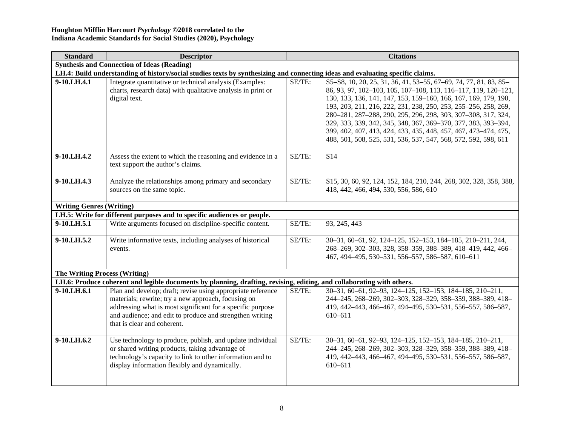| <b>Standard</b>                      | <b>Descriptor</b>                                                                                                                                                                                                                                                           |        | <b>Citations</b>                                                                                                                                                                                                                                                                                                                                                                                                                                                                                                                                    |  |
|--------------------------------------|-----------------------------------------------------------------------------------------------------------------------------------------------------------------------------------------------------------------------------------------------------------------------------|--------|-----------------------------------------------------------------------------------------------------------------------------------------------------------------------------------------------------------------------------------------------------------------------------------------------------------------------------------------------------------------------------------------------------------------------------------------------------------------------------------------------------------------------------------------------------|--|
|                                      | <b>Synthesis and Connection of Ideas (Reading)</b>                                                                                                                                                                                                                          |        |                                                                                                                                                                                                                                                                                                                                                                                                                                                                                                                                                     |  |
|                                      | LH.4: Build understanding of history/social studies texts by synthesizing and connecting ideas and evaluating specific claims.                                                                                                                                              |        |                                                                                                                                                                                                                                                                                                                                                                                                                                                                                                                                                     |  |
| 9-10.LH.4.1                          | Integrate quantitative or technical analysis (Examples:<br>charts, research data) with qualitative analysis in print or<br>digital text.                                                                                                                                    | SE/TE: | \$5-\$8, 10, 20, 25, 31, 36, 41, 53-55, 67-69, 74, 77, 81, 83, 85-<br>86, 93, 97, 102-103, 105, 107-108, 113, 116-117, 119, 120-121,<br>130, 133, 136, 141, 147, 153, 159-160, 166, 167, 169, 179, 190,<br>193, 203, 211, 216, 222, 231, 238, 250, 253, 255-256, 258, 269,<br>280-281, 287-288, 290, 295, 296, 298, 303, 307-308, 317, 324,<br>329, 333, 339, 342, 345, 348, 367, 369-370, 377, 383, 393-394,<br>399, 402, 407, 413, 424, 433, 435, 448, 457, 467, 473-474, 475,<br>488, 501, 508, 525, 531, 536, 537, 547, 568, 572, 592, 598, 611 |  |
| 9-10.LH.4.2                          | Assess the extent to which the reasoning and evidence in a<br>text support the author's claims.                                                                                                                                                                             | SE/TE: | S <sub>14</sub>                                                                                                                                                                                                                                                                                                                                                                                                                                                                                                                                     |  |
| 9-10.LH.4.3                          | Analyze the relationships among primary and secondary<br>sources on the same topic.                                                                                                                                                                                         | SE/TE: | \$15, 30, 60, 92, 124, 152, 184, 210, 244, 268, 302, 328, 358, 388,<br>418, 442, 466, 494, 530, 556, 586, 610                                                                                                                                                                                                                                                                                                                                                                                                                                       |  |
| <b>Writing Genres (Writing)</b>      |                                                                                                                                                                                                                                                                             |        |                                                                                                                                                                                                                                                                                                                                                                                                                                                                                                                                                     |  |
|                                      | LH.5: Write for different purposes and to specific audiences or people.                                                                                                                                                                                                     |        |                                                                                                                                                                                                                                                                                                                                                                                                                                                                                                                                                     |  |
| $9-10.LH.5.1$                        | Write arguments focused on discipline-specific content.                                                                                                                                                                                                                     | SE/TE: | 93, 245, 443                                                                                                                                                                                                                                                                                                                                                                                                                                                                                                                                        |  |
| 9-10.LH.5.2                          | Write informative texts, including analyses of historical<br>events.                                                                                                                                                                                                        | SE/TE: | 30-31, 60-61, 92, 124-125, 152-153, 184-185, 210-211, 244,<br>268-269, 302-303, 328, 358-359, 388-389, 418-419, 442, 466-<br>467, 494-495, 530-531, 556-557, 586-587, 610-611                                                                                                                                                                                                                                                                                                                                                                       |  |
| <b>The Writing Process (Writing)</b> |                                                                                                                                                                                                                                                                             |        |                                                                                                                                                                                                                                                                                                                                                                                                                                                                                                                                                     |  |
|                                      | LH.6: Produce coherent and legible documents by planning, drafting, revising, editing, and collaborating with others.                                                                                                                                                       |        |                                                                                                                                                                                                                                                                                                                                                                                                                                                                                                                                                     |  |
| 9-10.LH.6.1                          | Plan and develop; draft; revise using appropriate reference<br>materials; rewrite; try a new approach, focusing on<br>addressing what is most significant for a specific purpose<br>and audience; and edit to produce and strengthen writing<br>that is clear and coherent. | SE/TE: | 30-31, 60-61, 92-93, 124-125, 152-153, 184-185, 210-211,<br>244-245, 268-269, 302-303, 328-329, 358-359, 388-389, 418-<br>419, 442-443, 466-467, 494-495, 530-531, 556-557, 586-587,<br>610-611                                                                                                                                                                                                                                                                                                                                                     |  |
| 9-10.LH.6.2                          | Use technology to produce, publish, and update individual<br>or shared writing products, taking advantage of<br>technology's capacity to link to other information and to<br>display information flexibly and dynamically.                                                  | SE/TE: | 30-31, 60-61, 92-93, 124-125, 152-153, 184-185, 210-211,<br>244-245, 268-269, 302-303, 328-329, 358-359, 388-389, 418-<br>419, 442-443, 466-467, 494-495, 530-531, 556-557, 586-587,<br>610-611                                                                                                                                                                                                                                                                                                                                                     |  |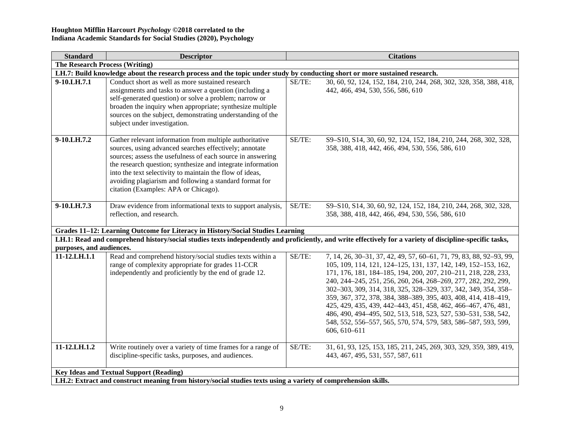| <b>Standard</b>                       | <b>Descriptor</b>                                                                                                                                                                                                                                                                                                                                                                                             |        | <b>Citations</b>                                                                                                                                                                                                                                                                                                                                                                                                                                                                                                                                                                                                                    |  |  |  |
|---------------------------------------|---------------------------------------------------------------------------------------------------------------------------------------------------------------------------------------------------------------------------------------------------------------------------------------------------------------------------------------------------------------------------------------------------------------|--------|-------------------------------------------------------------------------------------------------------------------------------------------------------------------------------------------------------------------------------------------------------------------------------------------------------------------------------------------------------------------------------------------------------------------------------------------------------------------------------------------------------------------------------------------------------------------------------------------------------------------------------------|--|--|--|
| <b>The Research Process (Writing)</b> |                                                                                                                                                                                                                                                                                                                                                                                                               |        |                                                                                                                                                                                                                                                                                                                                                                                                                                                                                                                                                                                                                                     |  |  |  |
|                                       | LH.7: Build knowledge about the research process and the topic under study by conducting short or more sustained research.                                                                                                                                                                                                                                                                                    |        |                                                                                                                                                                                                                                                                                                                                                                                                                                                                                                                                                                                                                                     |  |  |  |
| 9-10.LH.7.1                           | Conduct short as well as more sustained research<br>assignments and tasks to answer a question (including a<br>self-generated question) or solve a problem; narrow or<br>broaden the inquiry when appropriate; synthesize multiple<br>sources on the subject, demonstrating understanding of the<br>subject under investigation.                                                                              | SE/TE: | 30, 60, 92, 124, 152, 184, 210, 244, 268, 302, 328, 358, 388, 418,<br>442, 466, 494, 530, 556, 586, 610                                                                                                                                                                                                                                                                                                                                                                                                                                                                                                                             |  |  |  |
| 9-10.LH.7.2                           | Gather relevant information from multiple authoritative<br>sources, using advanced searches effectively; annotate<br>sources; assess the usefulness of each source in answering<br>the research question; synthesize and integrate information<br>into the text selectivity to maintain the flow of ideas,<br>avoiding plagiarism and following a standard format for<br>citation (Examples: APA or Chicago). | SE/TE: | S9-S10, S14, 30, 60, 92, 124, 152, 184, 210, 244, 268, 302, 328,<br>358, 388, 418, 442, 466, 494, 530, 556, 586, 610                                                                                                                                                                                                                                                                                                                                                                                                                                                                                                                |  |  |  |
| 9-10.LH.7.3                           | Draw evidence from informational texts to support analysis,<br>reflection, and research.                                                                                                                                                                                                                                                                                                                      | SE/TE: | S9-S10, S14, 30, 60, 92, 124, 152, 184, 210, 244, 268, 302, 328,<br>358, 388, 418, 442, 466, 494, 530, 556, 586, 610                                                                                                                                                                                                                                                                                                                                                                                                                                                                                                                |  |  |  |
|                                       | Grades 11-12: Learning Outcome for Literacy in History/Social Studies Learning                                                                                                                                                                                                                                                                                                                                |        |                                                                                                                                                                                                                                                                                                                                                                                                                                                                                                                                                                                                                                     |  |  |  |
| purposes, and audiences.              |                                                                                                                                                                                                                                                                                                                                                                                                               |        | LH.1: Read and comprehend history/social studies texts independently and proficiently, and write effectively for a variety of discipline-specific tasks,                                                                                                                                                                                                                                                                                                                                                                                                                                                                            |  |  |  |
| 11-12.LH.1.1                          | Read and comprehend history/social studies texts within a<br>range of complexity appropriate for grades 11-CCR<br>independently and proficiently by the end of grade 12.                                                                                                                                                                                                                                      | SE/TE: | 7, 14, 26, 30-31, 37, 42, 49, 57, 60-61, 71, 79, 83, 88, 92-93, 99,<br>105, 109, 114, 121, 124-125, 131, 137, 142, 149, 152-153, 162,<br>171, 176, 181, 184-185, 194, 200, 207, 210-211, 218, 228, 233,<br>240, 244-245, 251, 256, 260, 264, 268-269, 277, 282, 292, 299,<br>302-303, 309, 314, 318, 325, 328-329, 337, 342, 349, 354, 358-<br>359, 367, 372, 378, 384, 388-389, 395, 403, 408, 414, 418-419,<br>425, 429, 435, 439, 442-443, 451, 458, 462, 466-467, 476, 481,<br>486, 490, 494-495, 502, 513, 518, 523, 527, 530-531, 538, 542,<br>548, 552, 556–557, 565, 570, 574, 579, 583, 586–587, 593, 599,<br>606, 610-611 |  |  |  |
| $11-12.LH.1.2$                        | Write routinely over a variety of time frames for a range of<br>discipline-specific tasks, purposes, and audiences.                                                                                                                                                                                                                                                                                           | SE/TE: | 31, 61, 93, 125, 153, 185, 211, 245, 269, 303, 329, 359, 389, 419,<br>443, 467, 495, 531, 557, 587, 611                                                                                                                                                                                                                                                                                                                                                                                                                                                                                                                             |  |  |  |
|                                       | <b>Key Ideas and Textual Support (Reading)</b>                                                                                                                                                                                                                                                                                                                                                                |        |                                                                                                                                                                                                                                                                                                                                                                                                                                                                                                                                                                                                                                     |  |  |  |
|                                       | LH.2: Extract and construct meaning from history/social studies texts using a variety of comprehension skills.                                                                                                                                                                                                                                                                                                |        |                                                                                                                                                                                                                                                                                                                                                                                                                                                                                                                                                                                                                                     |  |  |  |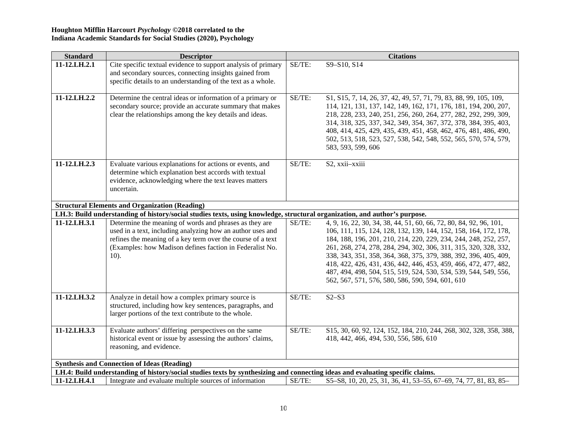| <b>Standard</b> | <b>Descriptor</b>                                                                                                                                                                                                                                          |        | <b>Citations</b>                                                                                                                                                                                                                                                                                                                                                                                                                                                                                                                               |
|-----------------|------------------------------------------------------------------------------------------------------------------------------------------------------------------------------------------------------------------------------------------------------------|--------|------------------------------------------------------------------------------------------------------------------------------------------------------------------------------------------------------------------------------------------------------------------------------------------------------------------------------------------------------------------------------------------------------------------------------------------------------------------------------------------------------------------------------------------------|
| 11-12.LH.2.1    | Cite specific textual evidence to support analysis of primary<br>and secondary sources, connecting insights gained from<br>specific details to an understanding of the text as a whole.                                                                    | SE/TE: | S9-S10, S14                                                                                                                                                                                                                                                                                                                                                                                                                                                                                                                                    |
| 11-12.LH.2.2    | Determine the central ideas or information of a primary or<br>secondary source; provide an accurate summary that makes<br>clear the relationships among the key details and ideas.                                                                         | SE/TE: | \$1, \$15, 7, 14, 26, 37, 42, 49, 57, 71, 79, 83, 88, 99, 105, 109,<br>114, 121, 131, 137, 142, 149, 162, 171, 176, 181, 194, 200, 207,<br>218, 228, 233, 240, 251, 256, 260, 264, 277, 282, 292, 299, 309,<br>314, 318, 325, 337, 342, 349, 354, 367, 372, 378, 384, 395, 403,<br>408, 414, 425, 429, 435, 439, 451, 458, 462, 476, 481, 486, 490,<br>502, 513, 518, 523, 527, 538, 542, 548, 552, 565, 570, 574, 579,<br>583, 593, 599, 606                                                                                                  |
| 11-12.LH.2.3    | Evaluate various explanations for actions or events, and<br>determine which explanation best accords with textual<br>evidence, acknowledging where the text leaves matters<br>uncertain.                                                                   | SE/TE: | S2, xxii-xxiii                                                                                                                                                                                                                                                                                                                                                                                                                                                                                                                                 |
|                 | <b>Structural Elements and Organization (Reading)</b>                                                                                                                                                                                                      |        |                                                                                                                                                                                                                                                                                                                                                                                                                                                                                                                                                |
|                 | LH.3: Build understanding of history/social studies texts, using knowledge, structural organization, and author's purpose.                                                                                                                                 |        |                                                                                                                                                                                                                                                                                                                                                                                                                                                                                                                                                |
| 11-12.LH.3.1    | Determine the meaning of words and phrases as they are<br>used in a text, including analyzing how an author uses and<br>refines the meaning of a key term over the course of a text<br>(Examples: how Madison defines faction in Federalist No.<br>$10$ ). | SE/TE: | 4, 9, 16, 22, 30, 34, 38, 44, 51, 60, 66, 72, 80, 84, 92, 96, 101,<br>106, 111, 115, 124, 128, 132, 139, 144, 152, 158, 164, 172, 178,<br>184, 188, 196, 201, 210, 214, 220, 229, 234, 244, 248, 252, 257,<br>261, 268, 274, 278, 284, 294, 302, 306, 311, 315, 320, 328, 332,<br>338, 343, 351, 358, 364, 368, 375, 379, 388, 392, 396, 405, 409,<br>418, 422, 426, 431, 436, 442, 446, 453, 459, 466, 472, 477, 482,<br>487, 494, 498, 504, 515, 519, 524, 530, 534, 539, 544, 549, 556,<br>562, 567, 571, 576, 580, 586, 590, 594, 601, 610 |
| 11-12.LH.3.2    | Analyze in detail how a complex primary source is<br>structured, including how key sentences, paragraphs, and<br>larger portions of the text contribute to the whole.                                                                                      | SE/TE: | $S2-S3$                                                                                                                                                                                                                                                                                                                                                                                                                                                                                                                                        |
| 11-12.LH.3.3    | Evaluate authors' differing perspectives on the same<br>historical event or issue by assessing the authors' claims,<br>reasoning, and evidence.                                                                                                            | SE/TE: | \$15, 30, 60, 92, 124, 152, 184, 210, 244, 268, 302, 328, 358, 388,<br>418, 442, 466, 494, 530, 556, 586, 610                                                                                                                                                                                                                                                                                                                                                                                                                                  |
|                 | <b>Synthesis and Connection of Ideas (Reading)</b>                                                                                                                                                                                                         |        |                                                                                                                                                                                                                                                                                                                                                                                                                                                                                                                                                |
|                 | LH.4: Build understanding of history/social studies texts by synthesizing and connecting ideas and evaluating specific claims.                                                                                                                             |        |                                                                                                                                                                                                                                                                                                                                                                                                                                                                                                                                                |
| 11-12.LH.4.1    | Integrate and evaluate multiple sources of information                                                                                                                                                                                                     | SE/TE: | \$5-\$8, 10, 20, 25, 31, 36, 41, 53-55, 67-69, 74, 77, 81, 83, 85-                                                                                                                                                                                                                                                                                                                                                                                                                                                                             |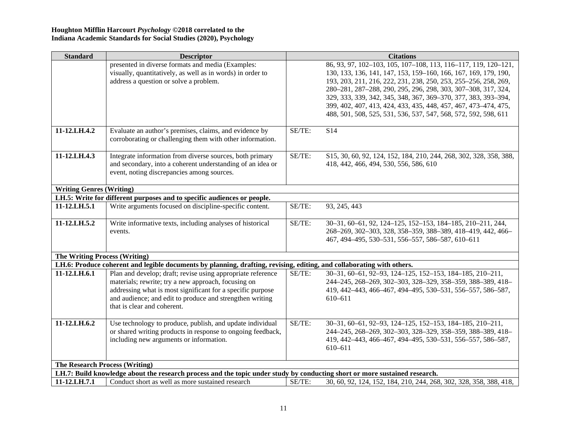| <b>Standard</b>                       | <b>Descriptor</b>                                                                                                          |        | <b>Citations</b>                                                    |
|---------------------------------------|----------------------------------------------------------------------------------------------------------------------------|--------|---------------------------------------------------------------------|
|                                       | presented in diverse formats and media (Examples:                                                                          |        | 86, 93, 97, 102-103, 105, 107-108, 113, 116-117, 119, 120-121,      |
|                                       | visually, quantitatively, as well as in words) in order to                                                                 |        | 130, 133, 136, 141, 147, 153, 159-160, 166, 167, 169, 179, 190,     |
|                                       | address a question or solve a problem.                                                                                     |        | 193, 203, 211, 216, 222, 231, 238, 250, 253, 255-256, 258, 269,     |
|                                       |                                                                                                                            |        | 280-281, 287-288, 290, 295, 296, 298, 303, 307-308, 317, 324,       |
|                                       |                                                                                                                            |        | 329, 333, 339, 342, 345, 348, 367, 369-370, 377, 383, 393-394,      |
|                                       |                                                                                                                            |        | 399, 402, 407, 413, 424, 433, 435, 448, 457, 467, 473-474, 475,     |
|                                       |                                                                                                                            |        | 488, 501, 508, 525, 531, 536, 537, 547, 568, 572, 592, 598, 611     |
|                                       |                                                                                                                            |        |                                                                     |
| 11-12.LH.4.2                          | Evaluate an author's premises, claims, and evidence by                                                                     | SE/TE: | S14                                                                 |
|                                       | corroborating or challenging them with other information.                                                                  |        |                                                                     |
|                                       |                                                                                                                            |        |                                                                     |
| 11-12.LH.4.3                          | Integrate information from diverse sources, both primary                                                                   | SE/TE: | \$15, 30, 60, 92, 124, 152, 184, 210, 244, 268, 302, 328, 358, 388, |
|                                       | and secondary, into a coherent understanding of an idea or<br>event, noting discrepancies among sources.                   |        | 418, 442, 466, 494, 530, 556, 586, 610                              |
|                                       |                                                                                                                            |        |                                                                     |
| <b>Writing Genres (Writing)</b>       |                                                                                                                            |        |                                                                     |
|                                       | LH.5: Write for different purposes and to specific audiences or people.                                                    |        |                                                                     |
| 11-12.LH.5.1                          | Write arguments focused on discipline-specific content.                                                                    | SE/TE: | 93, 245, 443                                                        |
|                                       |                                                                                                                            |        |                                                                     |
| 11-12.LH.5.2                          | Write informative texts, including analyses of historical                                                                  | SE/TE: | 30-31, 60-61, 92, 124-125, 152-153, 184-185, 210-211, 244,          |
|                                       | events.                                                                                                                    |        | 268-269, 302-303, 328, 358-359, 388-389, 418-419, 442, 466-         |
|                                       |                                                                                                                            |        | 467, 494-495, 530-531, 556-557, 586-587, 610-611                    |
|                                       |                                                                                                                            |        |                                                                     |
| <b>The Writing Process (Writing)</b>  |                                                                                                                            |        |                                                                     |
|                                       | LH.6: Produce coherent and legible documents by planning, drafting, revising, editing, and collaborating with others.      |        |                                                                     |
| 11-12.LH.6.1                          | Plan and develop; draft; revise using appropriate reference                                                                | SE/TE: | 30-31, 60-61, 92-93, 124-125, 152-153, 184-185, 210-211,            |
|                                       | materials; rewrite; try a new approach, focusing on                                                                        |        | 244-245, 268-269, 302-303, 328-329, 358-359, 388-389, 418-          |
|                                       | addressing what is most significant for a specific purpose                                                                 |        | 419, 442-443, 466-467, 494-495, 530-531, 556-557, 586-587,          |
|                                       | and audience; and edit to produce and strengthen writing                                                                   |        | 610-611                                                             |
|                                       | that is clear and coherent.                                                                                                |        |                                                                     |
|                                       |                                                                                                                            |        |                                                                     |
| 11-12.LH.6.2                          | Use technology to produce, publish, and update individual                                                                  | SE/TE: | 30-31, 60-61, 92-93, 124-125, 152-153, 184-185, 210-211,            |
|                                       | or shared writing products in response to ongoing feedback,                                                                |        | 244-245, 268-269, 302-303, 328-329, 358-359, 388-389, 418-          |
|                                       | including new arguments or information.                                                                                    |        | 419, 442-443, 466-467, 494-495, 530-531, 556-557, 586-587,          |
|                                       |                                                                                                                            |        | 610-611                                                             |
| <b>The Research Process (Writing)</b> |                                                                                                                            |        |                                                                     |
|                                       | LH.7: Build knowledge about the research process and the topic under study by conducting short or more sustained research. |        |                                                                     |
| 11-12.LH.7.1                          | Conduct short as well as more sustained research                                                                           | SE/TE: | 30, 60, 92, 124, 152, 184, 210, 244, 268, 302, 328, 358, 388, 418,  |